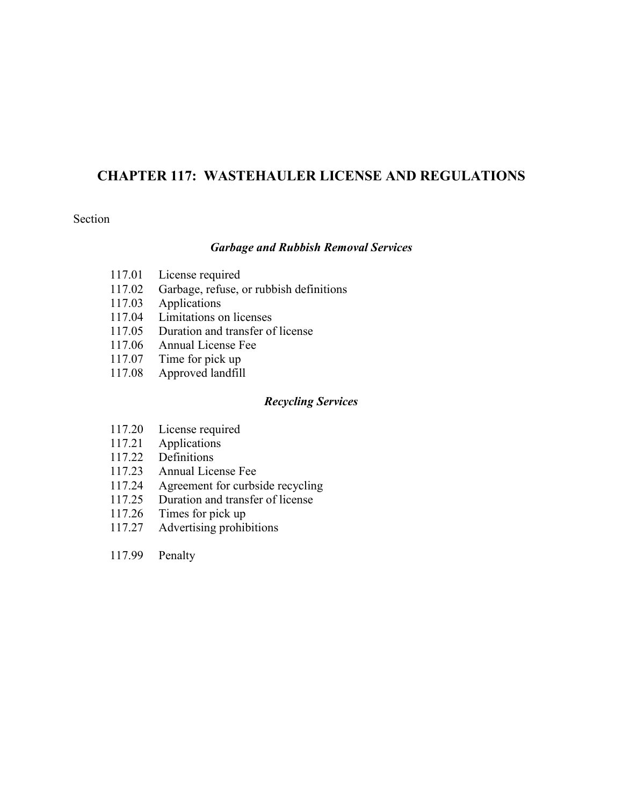## **CHAPTER 117: WASTEHAULER LICENSE AND REGULATIONS**

#### Section

### *Garbage and Rubbish Removal Services*

- 117.01 License required
- 117.02 Garbage, refuse, or rubbish definitions
- 117.03 Applications
- 117.04 Limitations on licenses
- 117.05 Duration and transfer of license
- 117.06 Annual License Fee
- 117.07 Time for pick up
- 117.08 Approved landfill

#### *Recycling Services*

- 117.20 License required
- 117.21 Applications
- 117.22 Definitions
- 117.23 Annual License Fee
- 117.24 Agreement for curbside recycling<br>117.25 Duration and transfer of license
- Duration and transfer of license
- 117.26 Times for pick up
- 117.27 Advertising prohibitions
- 117.99 Penalty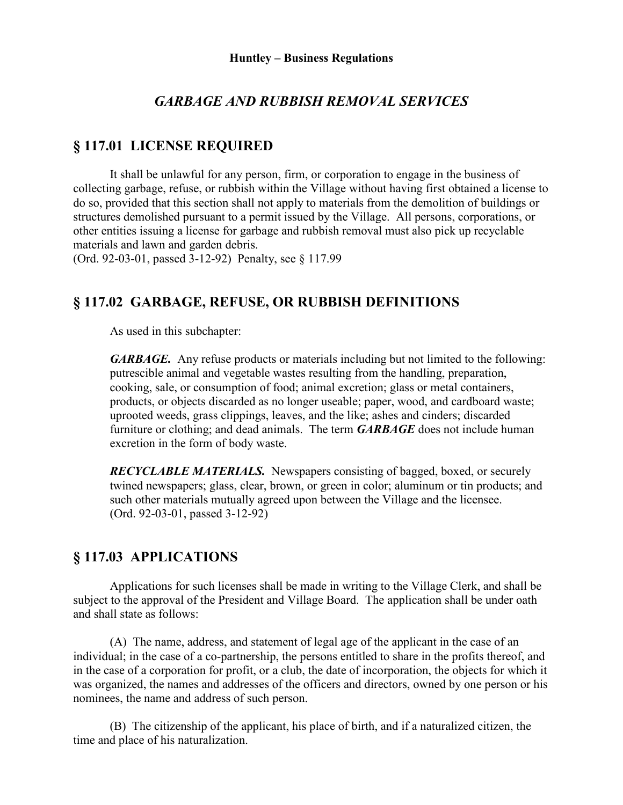## *GARBAGE AND RUBBISH REMOVAL SERVICES*

## **§ 117.01 LICENSE REQUIRED**

It shall be unlawful for any person, firm, or corporation to engage in the business of collecting garbage, refuse, or rubbish within the Village without having first obtained a license to do so, provided that this section shall not apply to materials from the demolition of buildings or structures demolished pursuant to a permit issued by the Village. All persons, corporations, or other entities issuing a license for garbage and rubbish removal must also pick up recyclable materials and lawn and garden debris.

(Ord. 92-03-01, passed 3-12-92) Penalty, see § 117.99

## **§ 117.02 GARBAGE, REFUSE, OR RUBBISH DEFINITIONS**

As used in this subchapter:

*GARBAGE.* Any refuse products or materials including but not limited to the following: putrescible animal and vegetable wastes resulting from the handling, preparation, cooking, sale, or consumption of food; animal excretion; glass or metal containers, products, or objects discarded as no longer useable; paper, wood, and cardboard waste; uprooted weeds, grass clippings, leaves, and the like; ashes and cinders; discarded furniture or clothing; and dead animals. The term *GARBAGE* does not include human excretion in the form of body waste.

*RECYCLABLE MATERIALS.* Newspapers consisting of bagged, boxed, or securely twined newspapers; glass, clear, brown, or green in color; aluminum or tin products; and such other materials mutually agreed upon between the Village and the licensee. (Ord. 92-03-01, passed 3-12-92)

## **§ 117.03 APPLICATIONS**

Applications for such licenses shall be made in writing to the Village Clerk, and shall be subject to the approval of the President and Village Board. The application shall be under oath and shall state as follows:

(A) The name, address, and statement of legal age of the applicant in the case of an individual; in the case of a co-partnership, the persons entitled to share in the profits thereof, and in the case of a corporation for profit, or a club, the date of incorporation, the objects for which it was organized, the names and addresses of the officers and directors, owned by one person or his nominees, the name and address of such person.

(B) The citizenship of the applicant, his place of birth, and if a naturalized citizen, the time and place of his naturalization.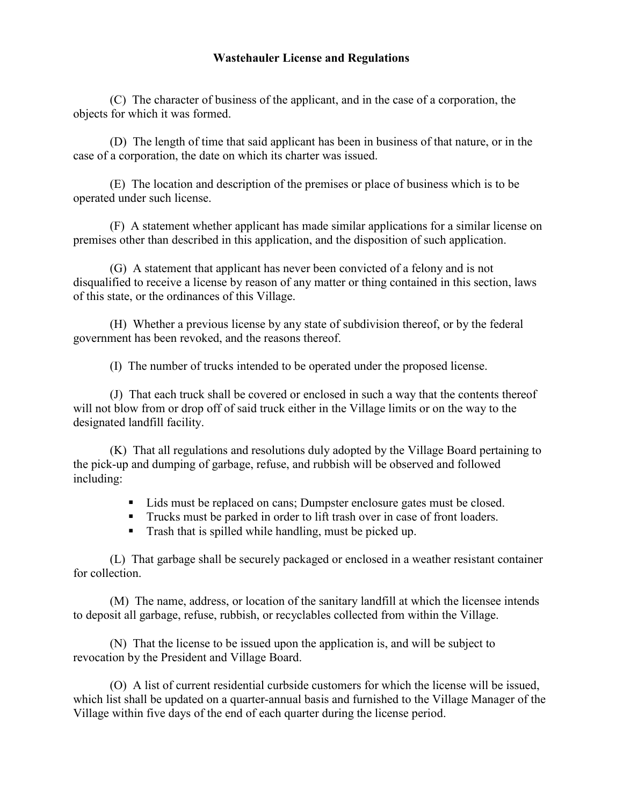#### **Wastehauler License and Regulations**

(C) The character of business of the applicant, and in the case of a corporation, the objects for which it was formed.

(D) The length of time that said applicant has been in business of that nature, or in the case of a corporation, the date on which its charter was issued.

(E) The location and description of the premises or place of business which is to be operated under such license.

(F) A statement whether applicant has made similar applications for a similar license on premises other than described in this application, and the disposition of such application.

(G) A statement that applicant has never been convicted of a felony and is not disqualified to receive a license by reason of any matter or thing contained in this section, laws of this state, or the ordinances of this Village.

(H) Whether a previous license by any state of subdivision thereof, or by the federal government has been revoked, and the reasons thereof.

(I) The number of trucks intended to be operated under the proposed license.

(J) That each truck shall be covered or enclosed in such a way that the contents thereof will not blow from or drop off of said truck either in the Village limits or on the way to the designated landfill facility.

(K) That all regulations and resolutions duly adopted by the Village Board pertaining to the pick-up and dumping of garbage, refuse, and rubbish will be observed and followed including:

- Lids must be replaced on cans; Dumpster enclosure gates must be closed.
- Trucks must be parked in order to lift trash over in case of front loaders.
- Trash that is spilled while handling, must be picked up.

(L) That garbage shall be securely packaged or enclosed in a weather resistant container for collection.

(M) The name, address, or location of the sanitary landfill at which the licensee intends to deposit all garbage, refuse, rubbish, or recyclables collected from within the Village.

(N) That the license to be issued upon the application is, and will be subject to revocation by the President and Village Board.

(O) A list of current residential curbside customers for which the license will be issued, which list shall be updated on a quarter-annual basis and furnished to the Village Manager of the Village within five days of the end of each quarter during the license period.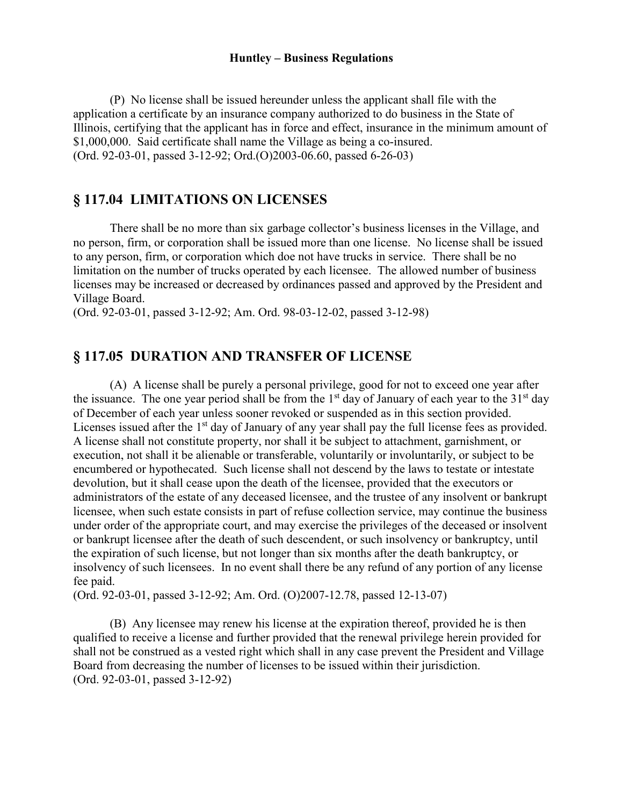#### **Huntley – Business Regulations**

(P) No license shall be issued hereunder unless the applicant shall file with the application a certificate by an insurance company authorized to do business in the State of Illinois, certifying that the applicant has in force and effect, insurance in the minimum amount of \$1,000,000. Said certificate shall name the Village as being a co-insured. (Ord. 92-03-01, passed 3-12-92; Ord.(O)2003-06.60, passed 6-26-03)

#### **§ 117.04 LIMITATIONS ON LICENSES**

There shall be no more than six garbage collector's business licenses in the Village, and no person, firm, or corporation shall be issued more than one license. No license shall be issued to any person, firm, or corporation which doe not have trucks in service. There shall be no limitation on the number of trucks operated by each licensee. The allowed number of business licenses may be increased or decreased by ordinances passed and approved by the President and Village Board.

(Ord. 92-03-01, passed 3-12-92; Am. Ord. 98-03-12-02, passed 3-12-98)

#### **§ 117.05 DURATION AND TRANSFER OF LICENSE**

(A) A license shall be purely a personal privilege, good for not to exceed one year after the issuance. The one year period shall be from the  $1<sup>st</sup>$  day of January of each year to the  $31<sup>st</sup>$  day of December of each year unless sooner revoked or suspended as in this section provided. Licenses issued after the 1<sup>st</sup> day of January of any year shall pay the full license fees as provided. A license shall not constitute property, nor shall it be subject to attachment, garnishment, or execution, not shall it be alienable or transferable, voluntarily or involuntarily, or subject to be encumbered or hypothecated. Such license shall not descend by the laws to testate or intestate devolution, but it shall cease upon the death of the licensee, provided that the executors or administrators of the estate of any deceased licensee, and the trustee of any insolvent or bankrupt licensee, when such estate consists in part of refuse collection service, may continue the business under order of the appropriate court, and may exercise the privileges of the deceased or insolvent or bankrupt licensee after the death of such descendent, or such insolvency or bankruptcy, until the expiration of such license, but not longer than six months after the death bankruptcy, or insolvency of such licensees. In no event shall there be any refund of any portion of any license fee paid.

(Ord. 92-03-01, passed 3-12-92; Am. Ord. (O)2007-12.78, passed 12-13-07)

(B) Any licensee may renew his license at the expiration thereof, provided he is then qualified to receive a license and further provided that the renewal privilege herein provided for shall not be construed as a vested right which shall in any case prevent the President and Village Board from decreasing the number of licenses to be issued within their jurisdiction. (Ord. 92-03-01, passed 3-12-92)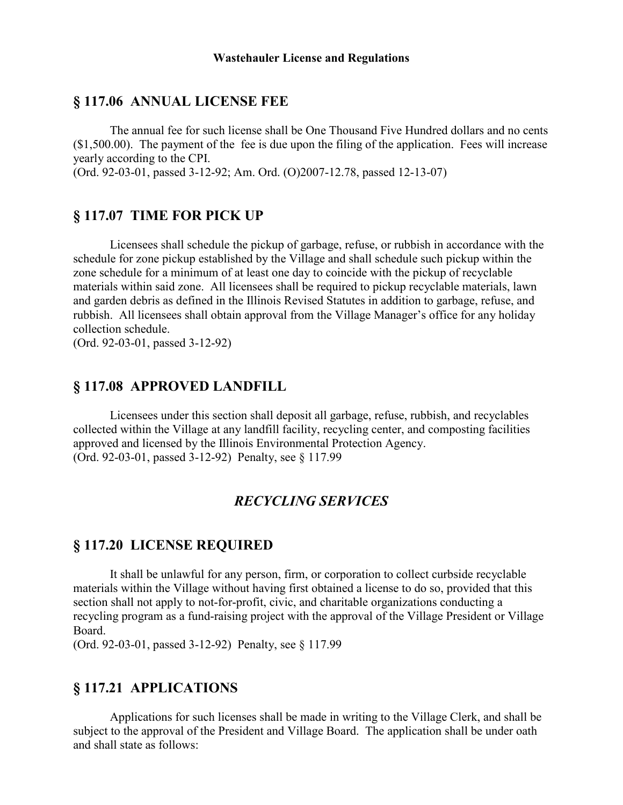#### **§ 117.06 ANNUAL LICENSE FEE**

The annual fee for such license shall be One Thousand Five Hundred dollars and no cents  $($1,500.00)$ . The payment of the fee is due upon the filing of the application. Fees will increase yearly according to the CPI.

(Ord. 92-03-01, passed 3-12-92; Am. Ord. (O)2007-12.78, passed 12-13-07)

#### **§ 117.07 TIME FOR PICK UP**

Licensees shall schedule the pickup of garbage, refuse, or rubbish in accordance with the schedule for zone pickup established by the Village and shall schedule such pickup within the zone schedule for a minimum of at least one day to coincide with the pickup of recyclable materials within said zone. All licensees shall be required to pickup recyclable materials, lawn and garden debris as defined in the Illinois Revised Statutes in addition to garbage, refuse, and rubbish. All licensees shall obtain approval from the Village Manager's office for any holiday collection schedule.

(Ord. 92-03-01, passed 3-12-92)

#### **§ 117.08 APPROVED LANDFILL**

Licensees under this section shall deposit all garbage, refuse, rubbish, and recyclables collected within the Village at any landfill facility, recycling center, and composting facilities approved and licensed by the Illinois Environmental Protection Agency. (Ord. 92-03-01, passed 3-12-92) Penalty, see § 117.99

### *RECYCLING SERVICES*

#### **§ 117.20 LICENSE REQUIRED**

It shall be unlawful for any person, firm, or corporation to collect curbside recyclable materials within the Village without having first obtained a license to do so, provided that this section shall not apply to not-for-profit, civic, and charitable organizations conducting a recycling program as a fund-raising project with the approval of the Village President or Village Board.

(Ord. 92-03-01, passed 3-12-92) Penalty, see § 117.99

### **§ 117.21 APPLICATIONS**

Applications for such licenses shall be made in writing to the Village Clerk, and shall be subject to the approval of the President and Village Board. The application shall be under oath and shall state as follows: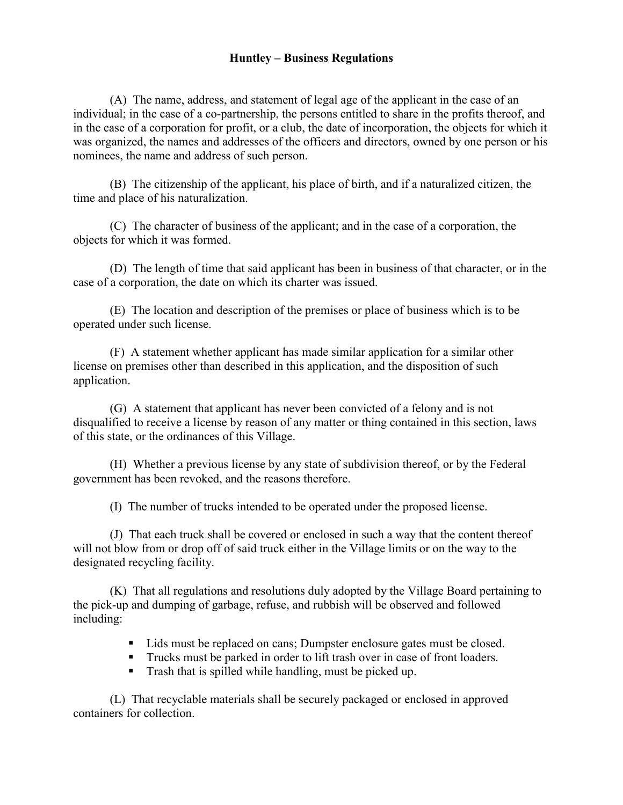#### **Huntley – Business Regulations**

(A) The name, address, and statement of legal age of the applicant in the case of an individual; in the case of a co-partnership, the persons entitled to share in the profits thereof, and in the case of a corporation for profit, or a club, the date of incorporation, the objects for which it was organized, the names and addresses of the officers and directors, owned by one person or his nominees, the name and address of such person.

(B) The citizenship of the applicant, his place of birth, and if a naturalized citizen, the time and place of his naturalization.

(C) The character of business of the applicant; and in the case of a corporation, the objects for which it was formed.

(D) The length of time that said applicant has been in business of that character, or in the case of a corporation, the date on which its charter was issued.

(E) The location and description of the premises or place of business which is to be operated under such license.

(F) A statement whether applicant has made similar application for a similar other license on premises other than described in this application, and the disposition of such application.

(G) A statement that applicant has never been convicted of a felony and is not disqualified to receive a license by reason of any matter or thing contained in this section, laws of this state, or the ordinances of this Village.

(H) Whether a previous license by any state of subdivision thereof, or by the Federal government has been revoked, and the reasons therefore.

(I) The number of trucks intended to be operated under the proposed license.

(J) That each truck shall be covered or enclosed in such a way that the content thereof will not blow from or drop off of said truck either in the Village limits or on the way to the designated recycling facility.

(K) That all regulations and resolutions duly adopted by the Village Board pertaining to the pick-up and dumping of garbage, refuse, and rubbish will be observed and followed including:

- Lids must be replaced on cans; Dumpster enclosure gates must be closed.
- Trucks must be parked in order to lift trash over in case of front loaders.
- Trash that is spilled while handling, must be picked up.

(L) That recyclable materials shall be securely packaged or enclosed in approved containers for collection.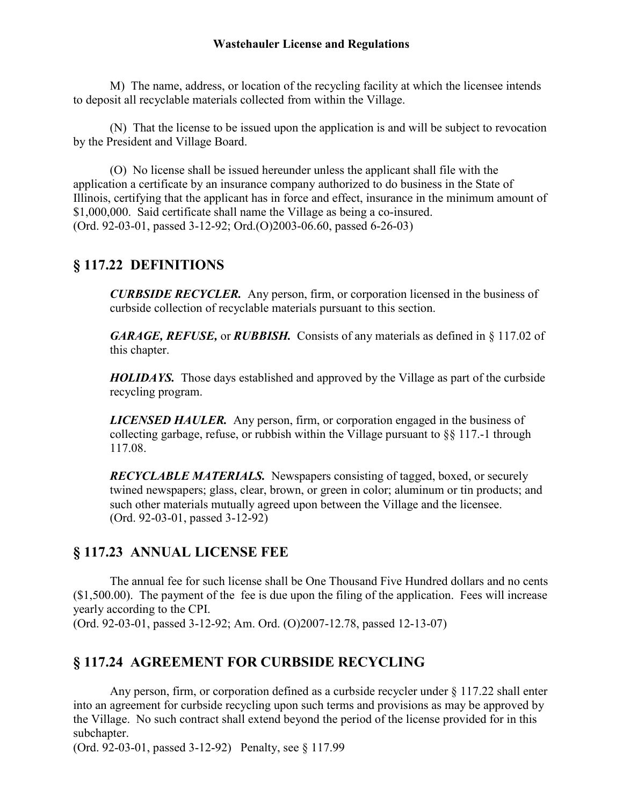#### **Wastehauler License and Regulations**

M) The name, address, or location of the recycling facility at which the licensee intends to deposit all recyclable materials collected from within the Village.

(N) That the license to be issued upon the application is and will be subject to revocation by the President and Village Board.

(O) No license shall be issued hereunder unless the applicant shall file with the application a certificate by an insurance company authorized to do business in the State of Illinois, certifying that the applicant has in force and effect, insurance in the minimum amount of \$1,000,000. Said certificate shall name the Village as being a co-insured. (Ord. 92-03-01, passed 3-12-92; Ord.(O)2003-06.60, passed 6-26-03)

## **§ 117.22 DEFINITIONS**

*CURBSIDE RECYCLER.* Any person, firm, or corporation licensed in the business of curbside collection of recyclable materials pursuant to this section.

*GARAGE, REFUSE,* or *RUBBISH.* Consists of any materials as defined in § 117.02 of this chapter.

*HOLIDAYS.* Those days established and approved by the Village as part of the curbside recycling program.

*LICENSED HAULER.* Any person, firm, or corporation engaged in the business of collecting garbage, refuse, or rubbish within the Village pursuant to §§ 117.-1 through 117.08.

*RECYCLABLE MATERIALS.* Newspapers consisting of tagged, boxed, or securely twined newspapers; glass, clear, brown, or green in color; aluminum or tin products; and such other materials mutually agreed upon between the Village and the licensee. (Ord. 92-03-01, passed 3-12-92)

# **§ 117.23 ANNUAL LICENSE FEE**

The annual fee for such license shall be One Thousand Five Hundred dollars and no cents (\$1,500.00). The payment of the fee is due upon the filing of the application. Fees will increase yearly according to the CPI.

(Ord. 92-03-01, passed 3-12-92; Am. Ord. (O)2007-12.78, passed 12-13-07)

# **§ 117.24 AGREEMENT FOR CURBSIDE RECYCLING**

Any person, firm, or corporation defined as a curbside recycler under § 117.22 shall enter into an agreement for curbside recycling upon such terms and provisions as may be approved by the Village. No such contract shall extend beyond the period of the license provided for in this subchapter.

(Ord. 92-03-01, passed 3-12-92) Penalty, see § 117.99